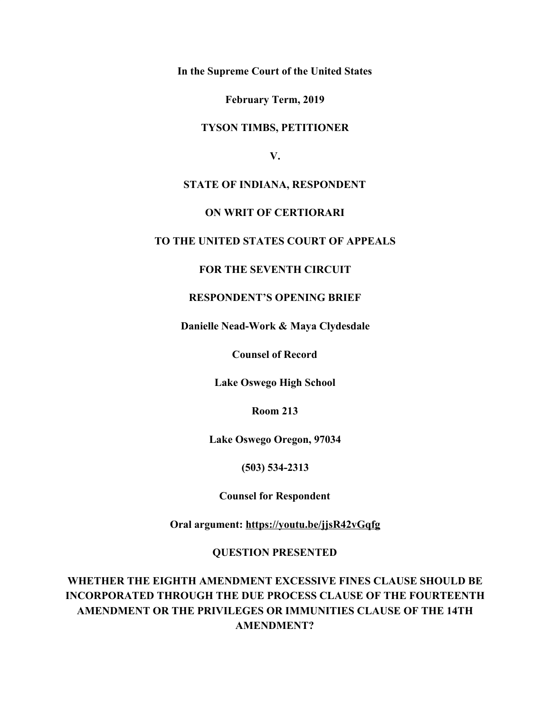**In the Supreme Court of the United States**

**February Term, 2019**

#### **TYSON TIMBS, PETITIONER**

**V.**

### **STATE OF INDIANA, RESPONDENT**

## **ON WRIT OF CERTIORARI**

### **TO THE UNITED STATES COURT OF APPEALS**

## **FOR THE SEVENTH CIRCUIT**

## **RESPONDENT'S OPENING BRIEF**

**Danielle Nead-Work & Maya Clydesdale**

**Counsel of Record**

**Lake Oswego High School**

**Room 213**

**Lake Oswego Oregon, 97034**

**(503) 534-2313**

**Counsel for Respondent**

**Oral argument: <https://youtu.be/jjsR42vGqfg>**

### **QUESTION PRESENTED**

**WHETHER THE EIGHTH AMENDMENT EXCESSIVE FINES CLAUSE SHOULD BE INCORPORATED THROUGH THE DUE PROCESS CLAUSE OF THE FOURTEENTH AMENDMENT OR THE PRIVILEGES OR IMMUNITIES CLAUSE OF THE 14TH AMENDMENT?**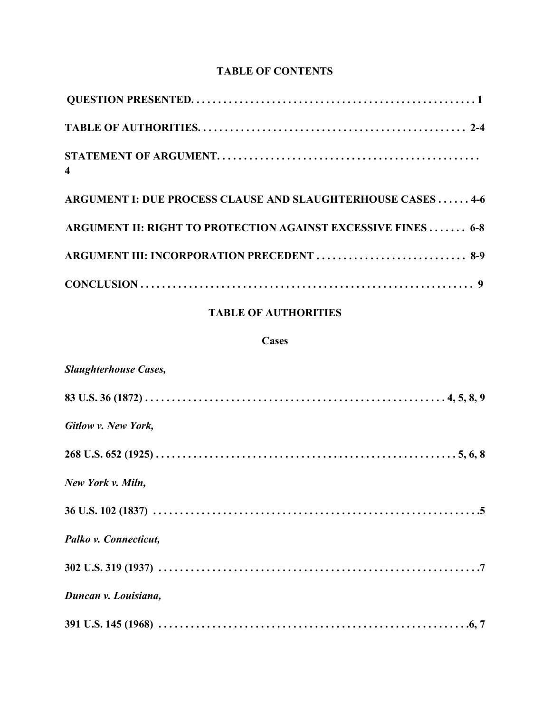# **TABLE OF CONTENTS**

| $\overline{\mathbf{4}}$                                       |
|---------------------------------------------------------------|
| ARGUMENT I: DUE PROCESS CLAUSE AND SLAUGHTERHOUSE CASES  4-6  |
| ARGUMENT II: RIGHT TO PROTECTION AGAINST EXCESSIVE FINES  6-8 |
| ARGUMENT III: INCORPORATION PRECEDENT  8-9                    |
|                                                               |

# **TABLE OF AUTHORITIES**

## **Cases**

| <b>Slaughterhouse Cases,</b> |
|------------------------------|
|                              |
| Gitlow v. New York,          |
|                              |
| New York v. Miln,            |
|                              |
| Palko v. Connecticut,        |
|                              |
| Duncan v. Louisiana,         |
|                              |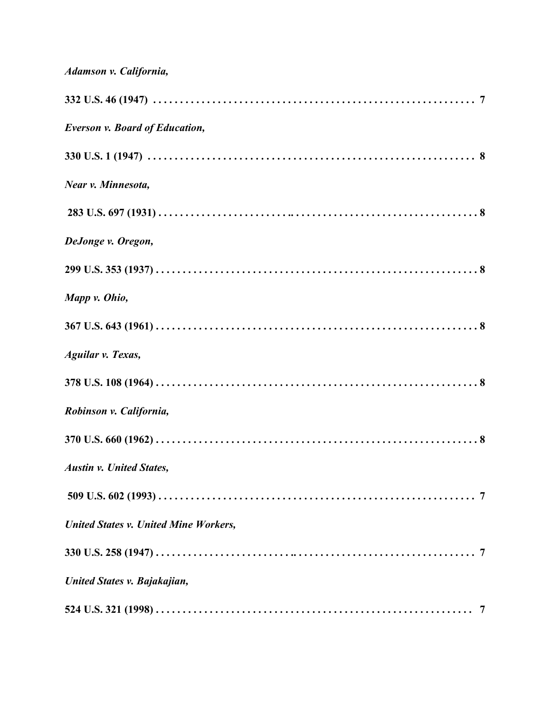| Adamson v. California,                       |
|----------------------------------------------|
|                                              |
| <b>Everson v. Board of Education,</b>        |
|                                              |
| Near v. Minnesota,                           |
|                                              |
| DeJonge v. Oregon,                           |
|                                              |
| Mapp v. Ohio,                                |
|                                              |
| <b>Aguilar v. Texas,</b>                     |
|                                              |
| Robinson v. California,                      |
|                                              |
| <b>Austin v. United States,</b>              |
|                                              |
| <b>United States v. United Mine Workers,</b> |
|                                              |
| United States v. Bajakajian,                 |
|                                              |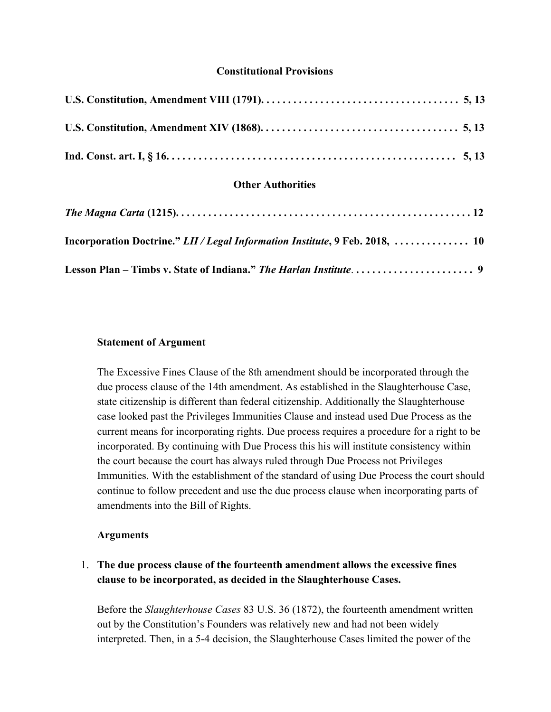### **Constitutional Provisions**

| <b>Other Authorities</b>                                                                                                                            |
|-----------------------------------------------------------------------------------------------------------------------------------------------------|
| The Magna Carta (1215). $\ldots$ . $\ldots$ . $\ldots$ . $\ldots$ . $\ldots$ . $\ldots$ . $\ldots$ . $\ldots$ . $\ldots$ . $\ldots$ . $\ldots$ . 12 |
| Incorporation Doctrine." LII/Legal Information Institute, 9 Feb. 2018,  10                                                                          |
|                                                                                                                                                     |

#### **Statement of Argument**

The Excessive Fines Clause of the 8th amendment should be incorporated through the due process clause of the 14th amendment. As established in the Slaughterhouse Case, state citizenship is different than federal citizenship. Additionally the Slaughterhouse case looked past the Privileges Immunities Clause and instead used Due Process as the current means for incorporating rights. Due process requires a procedure for a right to be incorporated. By continuing with Due Process this his will institute consistency within the court because the court has always ruled through Due Process not Privileges Immunities. With the establishment of the standard of using Due Process the court should continue to follow precedent and use the due process clause when incorporating parts of amendments into the Bill of Rights.

#### **Arguments**

# 1. **The due process clause of the fourteenth amendment allows the excessive fines clause to be incorporated, as decided in the Slaughterhouse Cases.**

Before the *Slaughterhouse Cases* 83 U.S. 36 (1872), the fourteenth amendment written out by the Constitution's Founders was relatively new and had not been widely interpreted. Then, in a 5-4 decision, the Slaughterhouse Cases limited the power of the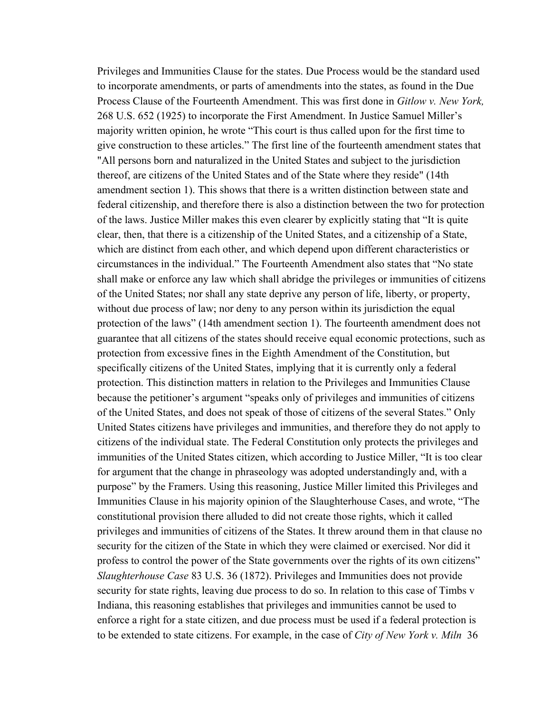Privileges and Immunities Clause for the states. Due Process would be the standard used to incorporate amendments, or parts of amendments into the states, as found in the Due Process Clause of the Fourteenth Amendment. This was first done in *Gitlow v. New York,* 268 U.S. 652 (1925) to incorporate the First Amendment. In Justice Samuel Miller's majority written opinion, he wrote "This court is thus called upon for the first time to give construction to these articles." The first line of the fourteenth amendment states that "All persons born and naturalized in the United States and subject to the jurisdiction thereof, are citizens of the United States and of the State where they reside" (14th amendment section 1). This shows that there is a written distinction between state and federal citizenship, and therefore there is also a distinction between the two for protection of the laws. Justice Miller makes this even clearer by explicitly stating that "It is quite clear, then, that there is a citizenship of the United States, and a citizenship of a State, which are distinct from each other, and which depend upon different characteristics or circumstances in the individual." The Fourteenth Amendment also states that "No state shall make or enforce any law which shall abridge the privileges or immunities of citizens of the United States; nor shall any state deprive any person of life, liberty, or property, without due process of law; nor deny to any person within its jurisdiction the equal protection of the laws" (14th amendment section 1). The fourteenth amendment does not guarantee that all citizens of the states should receive equal economic protections, such as protection from excessive fines in the Eighth Amendment of the Constitution, but specifically citizens of the United States, implying that it is currently only a federal protection. This distinction matters in relation to the Privileges and Immunities Clause because the petitioner's argument "speaks only of privileges and immunities of citizens of the United States, and does not speak of those of citizens of the several States." Only United States citizens have privileges and immunities, and therefore they do not apply to citizens of the individual state. The Federal Constitution only protects the privileges and immunities of the United States citizen, which according to Justice Miller, "It is too clear for argument that the change in phraseology was adopted understandingly and, with a purpose" by the Framers. Using this reasoning, Justice Miller limited this Privileges and Immunities Clause in his majority opinion of the Slaughterhouse Cases, and wrote, "The constitutional provision there alluded to did not create those rights, which it called privileges and immunities of citizens of the States. It threw around them in that clause no security for the citizen of the State in which they were claimed or exercised. Nor did it profess to control the power of the State governments over the rights of its own citizens" *Slaughterhouse Case* 83 U.S. 36 (1872). Privileges and Immunities does not provide security for state rights, leaving due process to do so. In relation to this case of Timbs v Indiana, this reasoning establishes that privileges and immunities cannot be used to enforce a right for a state citizen, and due process must be used if a federal protection is to be extended to state citizens. For example, in the case of *City of New York v. Miln* [36](https://supreme.justia.com/cases/federal/us/36/102/)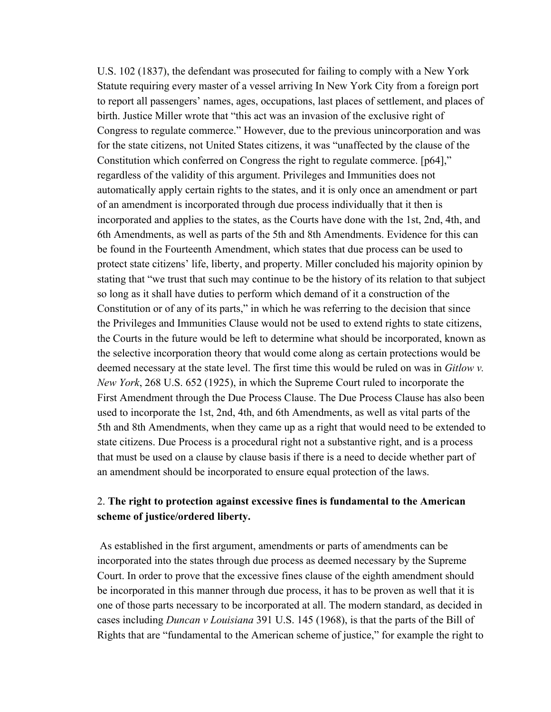[U.S. 102 \(1837\)](https://supreme.justia.com/cases/federal/us/36/102/), the defendant was prosecuted for failing to comply with a New York Statute requiring every master of a vessel arriving In New York City from a foreign port to report all passengers' names, ages, occupations, last places of settlement, and places of birth. Justice Miller wrote that "this act was an invasion of the exclusive right of Congress to regulate commerce." However, due to the previous unincorporation and was for the state citizens, not United States citizens, it was "unaffected by the clause of the Constitution which conferred on Congress the right to regulate commerce. [p64]," regardless of the validity of this argument. Privileges and Immunities does not automatically apply certain rights to the states, and it is only once an amendment or part of an amendment is incorporated through due process individually that it then is incorporated and applies to the states, as the Courts have done with the 1st, 2nd, 4th, and 6th Amendments, as well as parts of the 5th and 8th Amendments. Evidence for this can be found in the Fourteenth Amendment, which states that due process can be used to protect state citizens' life, liberty, and property. Miller concluded his majority opinion by stating that "we trust that such may continue to be the history of its relation to that subject so long as it shall have duties to perform which demand of it a construction of the Constitution or of any of its parts," in which he was referring to the decision that since the Privileges and Immunities Clause would not be used to extend rights to state citizens, the Courts in the future would be left to determine what should be incorporated, known as the selective incorporation theory that would come along as certain protections would be deemed necessary at the state level. The first time this would be ruled on was in *Gitlow v. New York*, 268 U.S. 652 (1925), in which the Supreme Court ruled to incorporate the First Amendment through the Due Process Clause. The Due Process Clause has also been used to incorporate the 1st, 2nd, 4th, and 6th Amendments, as well as vital parts of the 5th and 8th Amendments, when they came up as a right that would need to be extended to state citizens. Due Process is a procedural right not a substantive right, and is a process that must be used on a clause by clause basis if there is a need to decide whether part of an amendment should be incorporated to ensure equal protection of the laws.

## 2. **The right to protection against excessive fines is fundamental to the American scheme of justice/ordered liberty.**

 As established in the first argument, amendments or parts of amendments can be incorporated into the states through due process as deemed necessary by the Supreme Court. In order to prove that the excessive fines clause of the eighth amendment should be incorporated in this manner through due process, it has to be proven as well that it is one of those parts necessary to be incorporated at all. The modern standard, as decided in cases including *Duncan v Louisiana* 391 U.S. 145 (1968), is that the parts of the Bill of Rights that are "fundamental to the American scheme of justice," for example the right to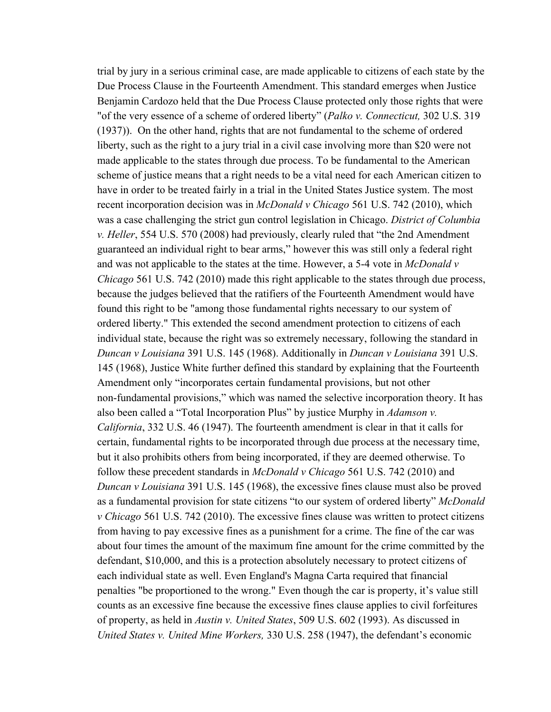trial by jury in a serious criminal case, are made applicable to citizens of each state by the Due Process Clause in the Fourteenth Amendment. This standard emerges when Justice Benjamin Cardozo held that the Due Process Clause protected only those rights that were "of the very essence of a scheme of ordered liberty" (*Palko v. Connecticut,* 302 U.S. 319 (1937)). On the other hand, rights that are not fundamental to the scheme of ordered liberty, such as the right to a jury trial in a civil case involving more than \$20 were not made applicable to the states through due process. To be fundamental to the American scheme of justice means that a right needs to be a vital need for each American citizen to have in order to be treated fairly in a trial in the United States Justice system. The most recent incorporation decision was in *McDonald v Chicago* 561 U.S. 742 (2010), which was a case challenging the strict gun control legislation in Chicago. *District of Columbia v. Heller*, 554 U.S. 570 (2008) had previously, clearly ruled that "the 2nd Amendment guaranteed an individual right to bear arms," however this was still only a federal right and was not applicable to the states at the time. However, a 5-4 vote in *McDonald v Chicago* 561 U.S. 742 (2010) made this right applicable to the states through due process, because the judges believed that the ratifiers of the Fourteenth Amendment would have found this right to be "among those fundamental rights necessary to our system of ordered liberty." This extended the second amendment protection to citizens of each individual state, because the right was so extremely necessary, following the standard in *Duncan v Louisiana* 391 U.S. 145 (1968). Additionally in *Duncan v Louisiana* 391 U.S. 145 (1968), Justice White further defined this standard by explaining that the Fourteenth Amendment only "incorporates certain fundamental provisions, but not other non-fundamental provisions," which was named the selective incorporation theory. It has also been called a "Total Incorporation Plus" by justice Murphy in *Adamson v. California*, 332 U.S. 46 (1947). The fourteenth amendment is clear in that it calls for certain, fundamental rights to be incorporated through due process at the necessary time, but it also prohibits others from being incorporated, if they are deemed otherwise. To follow these precedent standards in *McDonald v Chicago* 561 U.S. 742 (2010) and *Duncan v Louisiana* 391 U.S. 145 (1968), the excessive fines clause must also be proved as a fundamental provision for state citizens "to our system of ordered liberty" *McDonald v Chicago* 561 U.S. 742 (2010). The excessive fines clause was written to protect citizens from having to pay excessive fines as a punishment for a crime. The fine of the car was about four times the amount of the maximum fine amount for the crime committed by the defendant, \$10,000, and this is a protection absolutely necessary to protect citizens of each individual state as well. Even England's Magna Carta required that financial penalties "be proportioned to the wrong." Even though the car is property, it's value still counts as an excessive fine because the excessive fines clause applies to civil forfeitures of property, as held in *Austin v. United States*, 509 U.S. 602 (1993). As discussed in *United States v. United Mine Workers,* 330 U.S. 258 (1947), the defendant's economic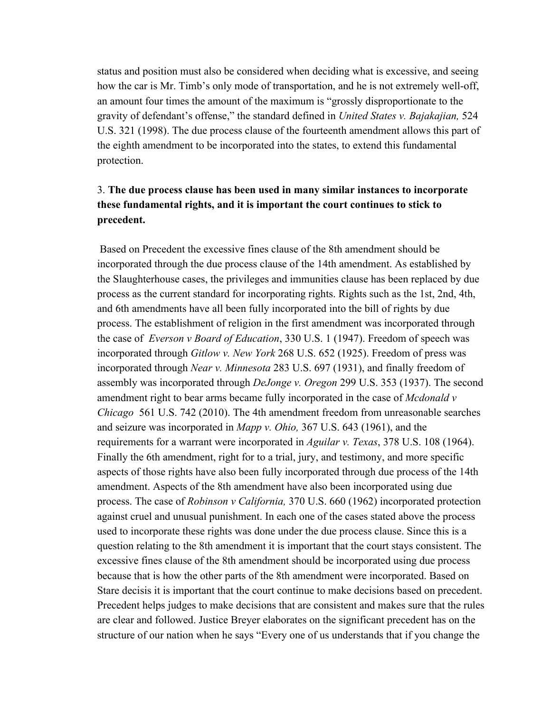status and position must also be considered when deciding what is excessive, and seeing how the car is Mr. Timb's only mode of transportation, and he is not extremely well-off, an amount four times the amount of the maximum is "grossly disproportionate to the gravity of defendant's offense," the standard defined in *United States v. Bajakajian,* 524 U.S. 321 (1998). The due process clause of the fourteenth amendment allows this part of the eighth amendment to be incorporated into the states, to extend this fundamental protection.

# 3. **The due process clause has been used in many similar instances to incorporate these fundamental rights, and it is important the court continues to stick to precedent.**

 Based on Precedent the excessive fines clause of the 8th amendment should be incorporated through the due process clause of the 14th amendment. As established by the Slaughterhouse cases, the privileges and immunities clause has been replaced by due process as the current standard for incorporating rights. Rights such as the 1st, 2nd, 4th, and 6th amendments have all been fully incorporated into the bill of rights by due process. The establishment of religion in the first amendment was incorporated through the case of *[Everson v Board of Education](http://www.law.cornell.edu/supremecourt/text/330/1)*, 330 U.S. 1 (1947). Freedom of speech was incorporated through *Gitlow v. New York* 268 U.S. 652 (1925). Freedom of press was incorporated through *[Near v. Minnesota](http://www.law.cornell.edu/supremecourt/text/283/697)* 283 U.S. 697 (1931), and finally freedom of assembly was incorporated through *[DeJonge v. Oregon](http://www.law.cornell.edu/supremecourt/text/299/353)* 299 U.S. 353 (1937). The second amendment right to bear arms became fully incorporated in the case of *Mcdonald v Chicago* 561 U.S. 742 (2010). The 4th amendment freedom from unreasonable searches and seizure was incorporated in *Mapp [v. Ohio](http://www.law.cornell.edu/supremecourt/text/367/643),* 367 U.S. 643 (1961), and the requirements for a warrant were incorporated in *[Aguilar v. Texas](https://supreme.justia.com/cases/federal/us/378/108/case.html)*, 378 U.S. 108 (1964). Finally the 6th amendment, right for to a trial, jury, and testimony, and more specific aspects of those rights have also been fully incorporated through due process of the 14th amendment. Aspects of the 8th amendment have also been incorporated using due process. The case of *[Robinson v California,](http://www.law.cornell.edu/supremecourt/text/370/660)* 370 U.S. 660 (1962) incorporated protection against cruel and unusual punishment. In each one of the cases stated above the process used to incorporate these rights was done under the due process clause. Since this is a question relating to the 8th amendment it is important that the court stays consistent. The excessive fines clause of the 8th amendment should be incorporated using due process because that is how the other parts of the 8th amendment were incorporated. Based on Stare decisis it is important that the court continue to make decisions based on precedent. Precedent helps judges to make decisions that are consistent and makes sure that the rules are clear and followed. Justice Breyer elaborates on the significant precedent has on the structure of our nation when he says "Every one of us understands that if you change the